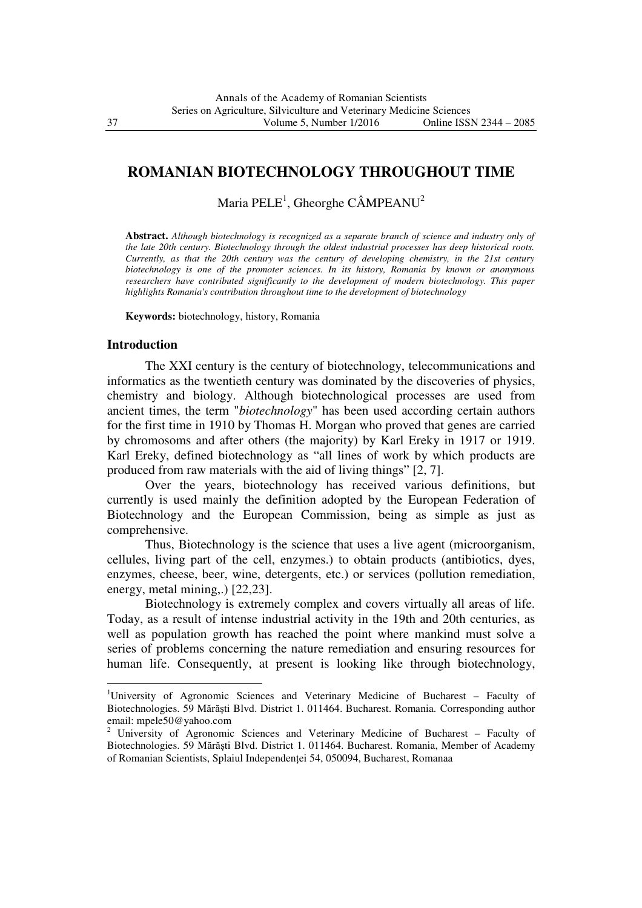# **ROMANIAN BIOTECHNOLOGY THROUGHOUT TIME**

# Maria PELE<sup>1</sup>, Gheorghe CÂMPEANU<sup>2</sup>

**Abstract.** *Although biotechnology is recognized as a separate branch of science and industry only of the late 20th century. Biotechnology through the oldest industrial processes has deep historical roots. Currently, as that the 20th century was the century of developing chemistry, in the 21st century biotechnology is one of the promoter sciences. In its history, Romania by known or anonymous researchers have contributed significantly to the development of modern biotechnology. This paper highlights Romania's contribution throughout time to the development of biotechnology* 

**Keywords:** biotechnology, history, Romania

#### **Introduction**

l

The XXI century is the century of biotechnology, telecommunications and informatics as the twentieth century was dominated by the discoveries of physics, chemistry and biology. Although biotechnological processes are used from ancient times, the term "*biotechnology*" has been used according certain authors for the first time in 1910 by Thomas H. Morgan who proved that genes are carried by chromosoms and after others (the majority) by Karl Ereky in 1917 or 1919. Karl Ereky, defined biotechnology as "all lines of work by which products are produced from raw materials with the aid of living things" [2, 7].

Over the years, biotechnology has received various definitions, but currently is used mainly the definition adopted by the European Federation of Biotechnology and the European Commission, being as simple as just as comprehensive.

Thus, Biotechnology is the science that uses a live agent (microorganism, cellules, living part of the cell, enzymes.) to obtain products (antibiotics, dyes, enzymes, cheese, beer, wine, detergents, etc.) or services (pollution remediation, energy, metal mining,.) [22,23].

Biotechnology is extremely complex and covers virtually all areas of life. Today, as a result of intense industrial activity in the 19th and 20th centuries, as well as population growth has reached the point where mankind must solve a series of problems concerning the nature remediation and ensuring resources for human life. Consequently, at present is looking like through biotechnology,

<sup>1</sup>University of Agronomic Sciences and Veterinary Medicine of Bucharest – Faculty of Biotechnologies. 59 Mărăşti Blvd. District 1. 011464. Bucharest. Romania. Corresponding author email: mpele50@yahoo.com<br><sup>2</sup> University of Agronomic Sciences and Veterinary Medicine of Bucharest – Faculty of

Biotechnologies. 59 Mărăşti Blvd. District 1. 011464. Bucharest. Romania, Member of Academy of Romanian Scientists, Splaiul Independenței 54, 050094, Bucharest, Romanaa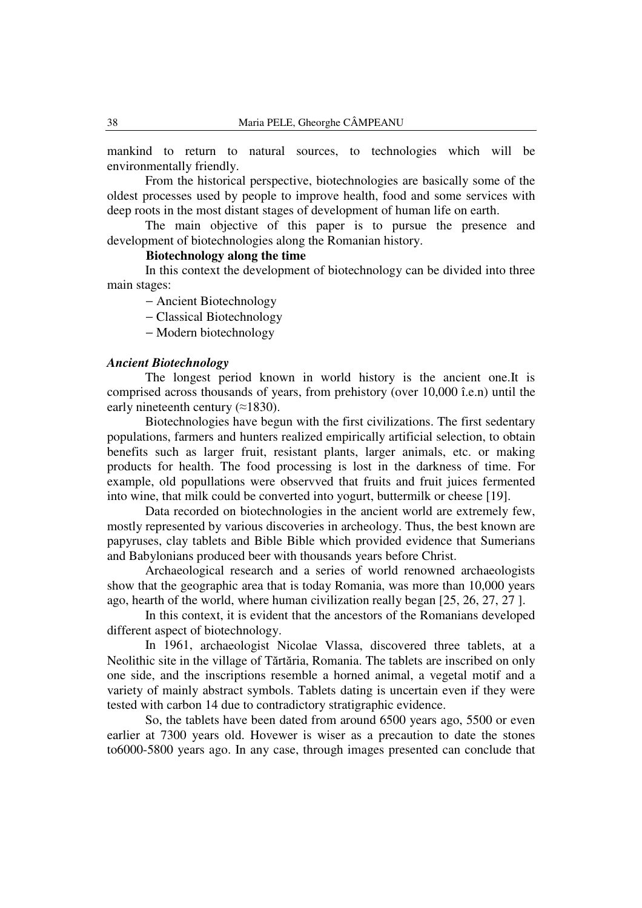mankind to return to natural sources, to technologies which will be environmentally friendly.

From the historical perspective, biotechnologies are basically some of the oldest processes used by people to improve health, food and some services with deep roots in the most distant stages of development of human life on earth.

The main objective of this paper is to pursue the presence and development of biotechnologies along the Romanian history.

## **Biotechnology along the time**

In this context the development of biotechnology can be divided into three main stages:

− Ancient Biotechnology

− Classical Biotechnology

− Modern biotechnology

### *Ancient Biotechnology*

The longest period known in world history is the ancient one.It is comprised across thousands of years, from prehistory (over 10,000 î.e.n) until the early nineteenth century  $(\approx 1830)$ .

Biotechnologies have begun with the first civilizations. The first sedentary populations, farmers and hunters realized empirically artificial selection, to obtain benefits such as larger fruit, resistant plants, larger animals, etc. or making products for health. The food processing is lost in the darkness of time. For example, old popullations were observved that fruits and fruit juices fermented into wine, that milk could be converted into yogurt, buttermilk or cheese [19].

Data recorded on biotechnologies in the ancient world are extremely few, mostly represented by various discoveries in archeology. Thus, the best known are papyruses, clay tablets and Bible Bible which provided evidence that Sumerians and Babylonians produced beer with thousands years before Christ.

Archaeological research and a series of world renowned archaeologists show that the geographic area that is today Romania, was more than 10,000 years ago, hearth of the world, where human civilization really began [25, 26, 27, 27 ].

In this context, it is evident that the ancestors of the Romanians developed different aspect of biotechnology.

In 1961, archaeologist Nicolae Vlassa, discovered three tablets, at a Neolithic site in the village of Tărtăria, Romania. The tablets are inscribed on only one side, and the inscriptions resemble a horned animal, a vegetal motif and a variety of mainly abstract symbols. Tablets dating is uncertain even if they were tested with carbon 14 due to contradictory stratigraphic evidence.

So, the tablets have been dated from around 6500 years ago, 5500 or even earlier at 7300 years old. Hovewer is wiser as a precaution to date the stones to6000-5800 years ago. In any case, through images presented can conclude that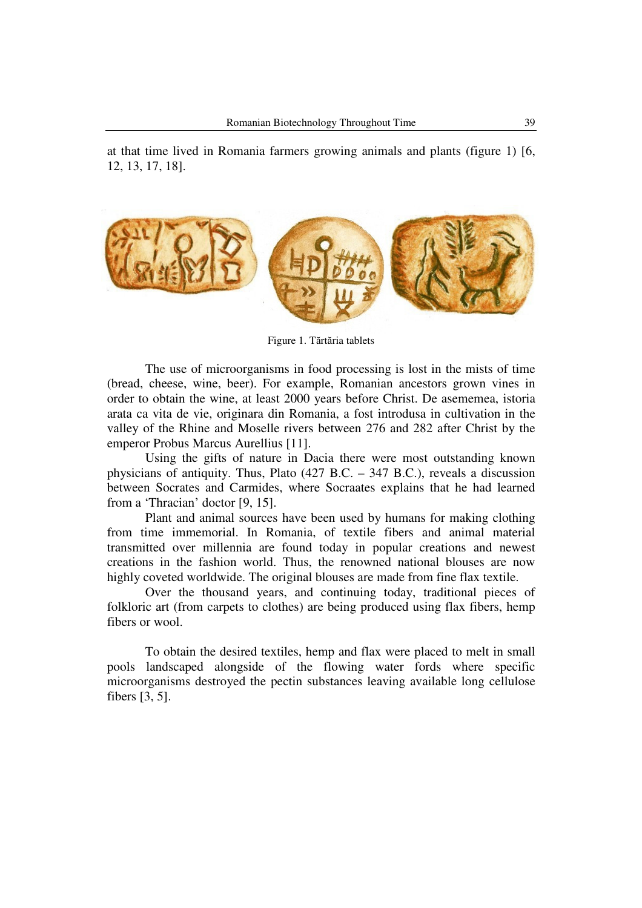

Figure 1. Tărtăria tablets

The use of microorganisms in food processing is lost in the mists of time (bread, cheese, wine, beer). For example, Romanian ancestors grown vines in order to obtain the wine, at least 2000 years before Christ. De asememea, istoria arata ca vita de vie, originara din Romania, a fost introdusa in cultivation in the valley of the Rhine and Moselle rivers between 276 and 282 after Christ by the emperor Probus Marcus Aurellius [11].

Using the gifts of nature in Dacia there were most outstanding known physicians of antiquity. Thus, Plato (427 B.C. – 347 B.C.), reveals a discussion between Socrates and Carmides, where Socraates explains that he had learned from a 'Thracian' doctor [9, 15].

Plant and animal sources have been used by humans for making clothing from time immemorial. In Romania, of textile fibers and animal material transmitted over millennia are found today in popular creations and newest creations in the fashion world. Thus, the renowned national blouses are now highly coveted worldwide. The original blouses are made from fine flax textile.

Over the thousand years, and continuing today, traditional pieces of folkloric art (from carpets to clothes) are being produced using flax fibers, hemp fibers or wool.

To obtain the desired textiles, hemp and flax were placed to melt in small pools landscaped alongside of the flowing water fords where specific microorganisms destroyed the pectin substances leaving available long cellulose fibers [3, 5].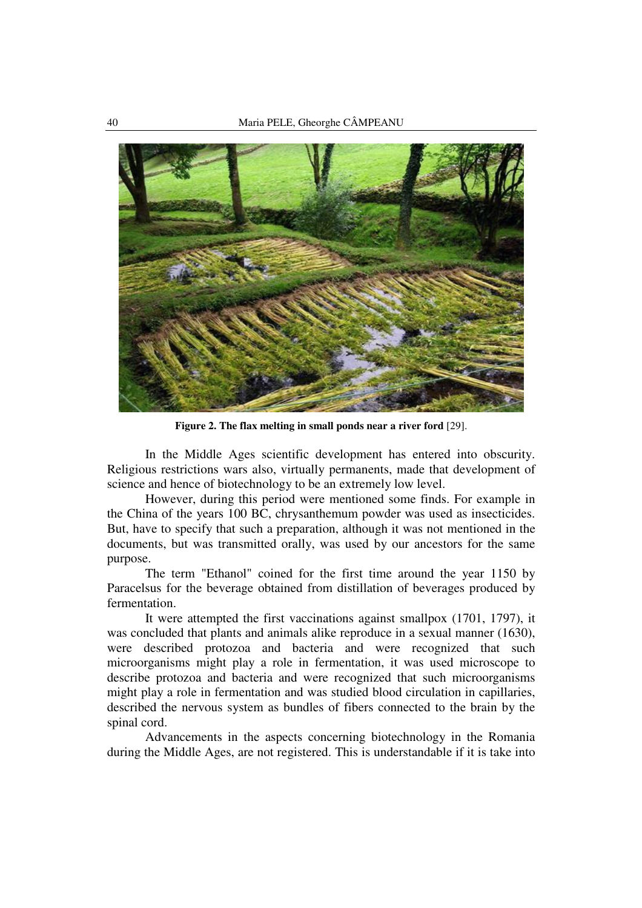

**Figure 2. The flax melting in small ponds near a river ford** [29].

In the Middle Ages scientific development has entered into obscurity. Religious restrictions wars also, virtually permanents, made that development of science and hence of biotechnology to be an extremely low level.

However, during this period were mentioned some finds. For example in the China of the years 100 BC, chrysanthemum powder was used as insecticides. But, have to specify that such a preparation, although it was not mentioned in the documents, but was transmitted orally, was used by our ancestors for the same purpose.

The term "Ethanol" coined for the first time around the year 1150 by Paracelsus for the beverage obtained from distillation of beverages produced by fermentation.

It were attempted the first vaccinations against smallpox (1701, 1797), it was concluded that plants and animals alike reproduce in a sexual manner (1630), were described protozoa and bacteria and were recognized that such microorganisms might play a role in fermentation, it was used microscope to describe protozoa and bacteria and were recognized that such microorganisms might play a role in fermentation and was studied blood circulation in capillaries, described the nervous system as bundles of fibers connected to the brain by the spinal cord.

Advancements in the aspects concerning biotechnology in the Romania during the Middle Ages, are not registered. This is understandable if it is take into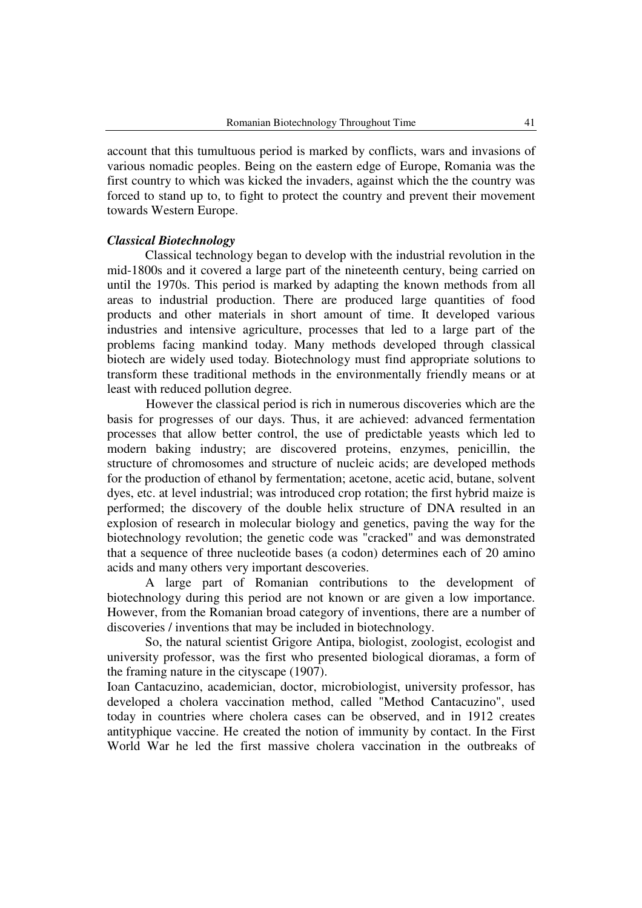account that this tumultuous period is marked by conflicts, wars and invasions of various nomadic peoples. Being on the eastern edge of Europe, Romania was the first country to which was kicked the invaders, against which the the country was forced to stand up to, to fight to protect the country and prevent their movement towards Western Europe.

### *Classical Biotechnology*

Classical technology began to develop with the industrial revolution in the mid-1800s and it covered a large part of the nineteenth century, being carried on until the 1970s. This period is marked by adapting the known methods from all areas to industrial production. There are produced large quantities of food products and other materials in short amount of time. It developed various industries and intensive agriculture, processes that led to a large part of the problems facing mankind today. Many methods developed through classical biotech are widely used today. Biotechnology must find appropriate solutions to transform these traditional methods in the environmentally friendly means or at least with reduced pollution degree.

However the classical period is rich in numerous discoveries which are the basis for progresses of our days. Thus, it are achieved: advanced fermentation processes that allow better control, the use of predictable yeasts which led to modern baking industry; are discovered proteins, enzymes, penicillin, the structure of chromosomes and structure of nucleic acids; are developed methods for the production of ethanol by fermentation; acetone, acetic acid, butane, solvent dyes, etc. at level industrial; was introduced crop rotation; the first hybrid maize is performed; the discovery of the double helix structure of DNA resulted in an explosion of research in molecular biology and genetics, paving the way for the biotechnology revolution; the genetic code was "cracked" and was demonstrated that a sequence of three nucleotide bases (a codon) determines each of 20 amino acids and many others very important descoveries.

A large part of Romanian contributions to the development of biotechnology during this period are not known or are given a low importance. However, from the Romanian broad category of inventions, there are a number of discoveries / inventions that may be included in biotechnology.

So, the natural scientist Grigore Antipa, biologist, zoologist, ecologist and university professor, was the first who presented biological dioramas, a form of the framing nature in the cityscape (1907).

Ioan Cantacuzino, academician, doctor, microbiologist, university professor, has developed a cholera vaccination method, called "Method Cantacuzino", used today in countries where cholera cases can be observed, and in 1912 creates antityphique vaccine. He created the notion of immunity by contact. In the First World War he led the first massive cholera vaccination in the outbreaks of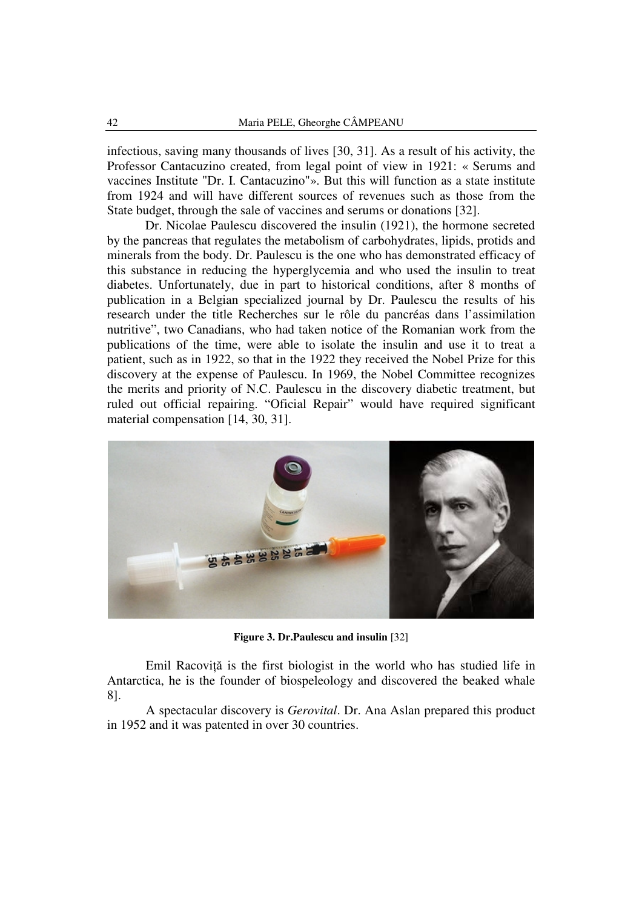infectious, saving many thousands of lives [30, 31]. As a result of his activity, the Professor Cantacuzino created, from legal point of view in 1921: « Serums and vaccines Institute "Dr. I. Cantacuzino"». But this will function as a state institute from 1924 and will have different sources of revenues such as those from the State budget, through the sale of vaccines and serums or donations [32].

Dr. Nicolae Paulescu discovered the insulin (1921), the hormone secreted by the pancreas that regulates the metabolism of carbohydrates, lipids, protids and minerals from the body. Dr. Paulescu is the one who has demonstrated efficacy of this substance in reducing the hyperglycemia and who used the insulin to treat diabetes. Unfortunately, due in part to historical conditions, after 8 months of publication in a Belgian specialized journal by Dr. Paulescu the results of his research under the title Recherches sur le rôle du pancréas dans l'assimilation nutritive", two Canadians, who had taken notice of the Romanian work from the publications of the time, were able to isolate the insulin and use it to treat a patient, such as in 1922, so that in the 1922 they received the Nobel Prize for this discovery at the expense of Paulescu. In 1969, the Nobel Committee recognizes the merits and priority of N.C. Paulescu in the discovery diabetic treatment, but ruled out official repairing. "Oficial Repair" would have required significant material compensation [14, 30, 31].



**Figure 3. Dr.Paulescu and insulin** [32]

Emil Racoviță is the first biologist in the world who has studied life in Antarctica, he is the founder of biospeleology and discovered the beaked whale 8].

A spectacular discovery is *Gerovital*. Dr. Ana Aslan prepared this product in 1952 and it was patented in over 30 countries.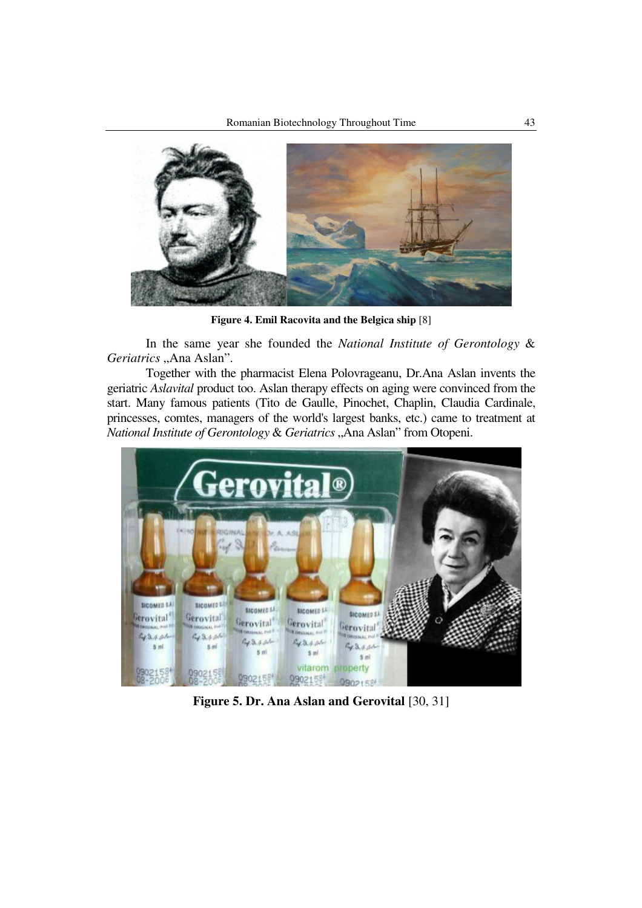

**Figure 4. Emil Racovita and the Belgica ship** [8]

In the same year she founded the *National Institute of Gerontology* & *Geriatrics* "Ana Aslan".

Together with the pharmacist Elena Polovrageanu, Dr.Ana Aslan invents the geriatric *Aslavital* product too. Aslan therapy effects on aging were convinced from the start. Many famous patients (Tito de Gaulle, Pinochet, Chaplin, Claudia Cardinale, princesses, comtes, managers of the world's largest banks, etc.) came to treatment at *National Institute of Gerontology & Geriatrics* "Ana Aslan" from Otopeni.



**Figure 5. Dr. Ana Aslan and Gerovital** [30, 31]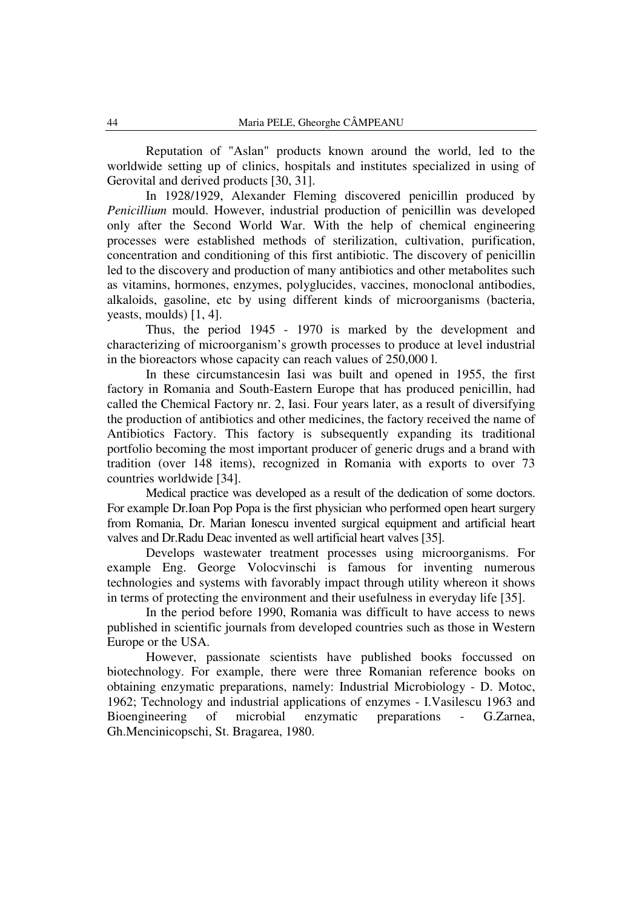Reputation of "Aslan" products known around the world, led to the worldwide setting up of clinics, hospitals and institutes specialized in using of Gerovital and derived products [30, 31].

In 1928/1929, Alexander Fleming discovered penicillin produced by *Penicillium* mould. However, industrial production of penicillin was developed only after the Second World War. With the help of chemical engineering processes were established methods of sterilization, cultivation, purification, concentration and conditioning of this first antibiotic. The discovery of penicillin led to the discovery and production of many antibiotics and other metabolites such as vitamins, hormones, enzymes, polyglucides, vaccines, monoclonal antibodies, alkaloids, gasoline, etc by using different kinds of microorganisms (bacteria, yeasts, moulds) [1, 4].

Thus, the period 1945 - 1970 is marked by the development and characterizing of microorganism's growth processes to produce at level industrial in the bioreactors whose capacity can reach values of 250,000 l.

In these circumstancesin Iasi was built and opened in 1955, the first factory in Romania and South-Eastern Europe that has produced penicillin, had called the Chemical Factory nr. 2, Iasi. Four years later, as a result of diversifying the production of antibiotics and other medicines, the factory received the name of Antibiotics Factory. This factory is subsequently expanding its traditional portfolio becoming the most important producer of generic drugs and a brand with tradition (over 148 items), recognized in Romania with exports to over 73 countries worldwide [34].

Medical practice was developed as a result of the dedication of some doctors. For example Dr.Ioan Pop Popa is the first physician who performed open heart surgery from Romania, Dr. Marian Ionescu invented surgical equipment and artificial heart valves and Dr.Radu Deac invented as well artificial heart valves [35].

Develops wastewater treatment processes using microorganisms. For example Eng. George Volocvinschi is famous for inventing numerous technologies and systems with favorably impact through utility whereon it shows in terms of protecting the environment and their usefulness in everyday life [35].

In the period before 1990, Romania was difficult to have access to news published in scientific journals from developed countries such as those in Western Europe or the USA.

However, passionate scientists have published books foccussed on biotechnology. For example, there were three Romanian reference books on obtaining enzymatic preparations, namely: Industrial Microbiology - D. Motoc, 1962; Technology and industrial applications of enzymes - I.Vasilescu 1963 and Bioengineering of microbial enzymatic preparations - G.Zarnea, Gh.Mencinicopschi, St. Bragarea, 1980.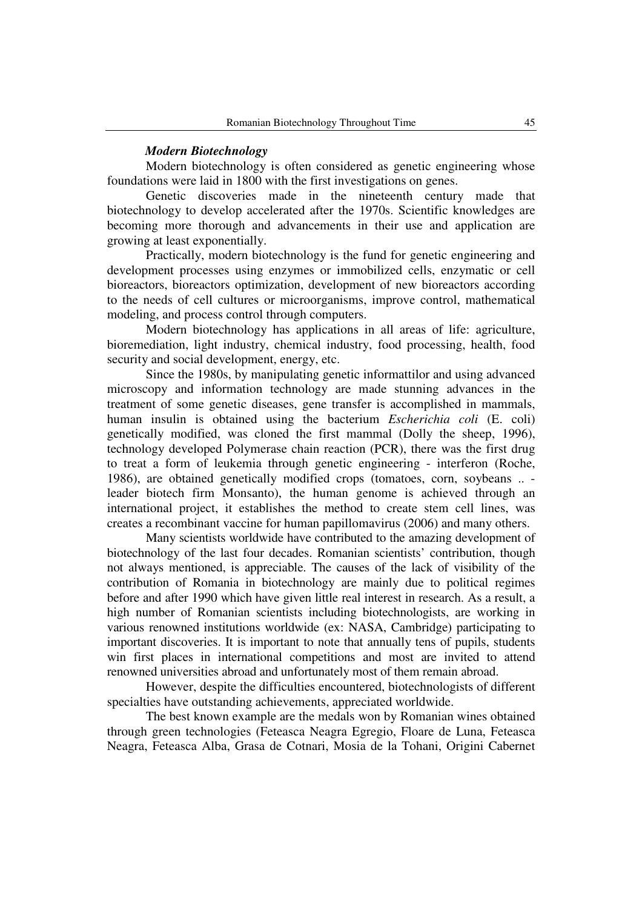## *Modern Biotechnology*

Modern biotechnology is often considered as genetic engineering whose foundations were laid in 1800 with the first investigations on genes.

Genetic discoveries made in the nineteenth century made that biotechnology to develop accelerated after the 1970s. Scientific knowledges are becoming more thorough and advancements in their use and application are growing at least exponentially.

Practically, modern biotechnology is the fund for genetic engineering and development processes using enzymes or immobilized cells, enzymatic or cell bioreactors, bioreactors optimization, development of new bioreactors according to the needs of cell cultures or microorganisms, improve control, mathematical modeling, and process control through computers.

Modern biotechnology has applications in all areas of life: agriculture, bioremediation, light industry, chemical industry, food processing, health, food security and social development, energy, etc.

Since the 1980s, by manipulating genetic informattilor and using advanced microscopy and information technology are made stunning advances in the treatment of some genetic diseases, gene transfer is accomplished in mammals, human insulin is obtained using the bacterium *Escherichia coli* (E. coli) genetically modified, was cloned the first mammal (Dolly the sheep, 1996), technology developed Polymerase chain reaction (PCR), there was the first drug to treat a form of leukemia through genetic engineering - interferon (Roche, 1986), are obtained genetically modified crops (tomatoes, corn, soybeans .. leader biotech firm Monsanto), the human genome is achieved through an international project, it establishes the method to create stem cell lines, was creates a recombinant vaccine for human papillomavirus (2006) and many others.

Many scientists worldwide have contributed to the amazing development of biotechnology of the last four decades. Romanian scientists' contribution, though not always mentioned, is appreciable. The causes of the lack of visibility of the contribution of Romania in biotechnology are mainly due to political regimes before and after 1990 which have given little real interest in research. As a result, a high number of Romanian scientists including biotechnologists, are working in various renowned institutions worldwide (ex: NASA, Cambridge) participating to important discoveries. It is important to note that annually tens of pupils, students win first places in international competitions and most are invited to attend renowned universities abroad and unfortunately most of them remain abroad.

However, despite the difficulties encountered, biotechnologists of different specialties have outstanding achievements, appreciated worldwide.

The best known example are the medals won by Romanian wines obtained through green technologies (Feteasca Neagra Egregio, Floare de Luna, Feteasca Neagra, Feteasca Alba, Grasa de Cotnari, Mosia de la Tohani, Origini Cabernet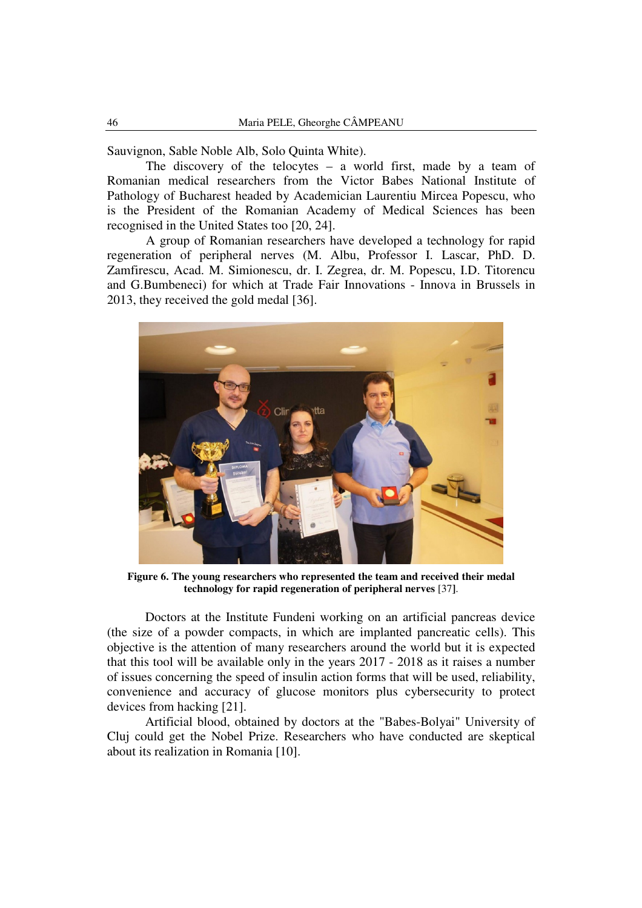Sauvignon, Sable Noble Alb, Solo Quinta White).

The discovery of the telocytes – a world first, made by a team of Romanian medical researchers from the Victor Babes National Institute of Pathology of Bucharest headed by Academician Laurentiu Mircea Popescu, who is the President of the Romanian Academy of Medical Sciences has been recognised in the United States too [20, 24].

A group of Romanian researchers have developed a technology for rapid regeneration of peripheral nerves (M. Albu, Professor I. Lascar, PhD. D. Zamfirescu, Acad. M. Simionescu, dr. I. Zegrea, dr. M. Popescu, I.D. Titorencu and G.Bumbeneci) for which at Trade Fair Innovations - Innova in Brussels in 2013, they received the gold medal [36].



**Figure 6. The young researchers who represented the team and received their medal technology for rapid regeneration of peripheral nerves** [37**]**.

Doctors at the Institute Fundeni working on an artificial pancreas device (the size of a powder compacts, in which are implanted pancreatic cells). This objective is the attention of many researchers around the world but it is expected that this tool will be available only in the years 2017 - 2018 as it raises a number of issues concerning the speed of insulin action forms that will be used, reliability, convenience and accuracy of glucose monitors plus cybersecurity to protect devices from hacking [21].

Artificial blood, obtained by doctors at the "Babes-Bolyai" University of Cluj could get the Nobel Prize. Researchers who have conducted are skeptical about its realization in Romania [10].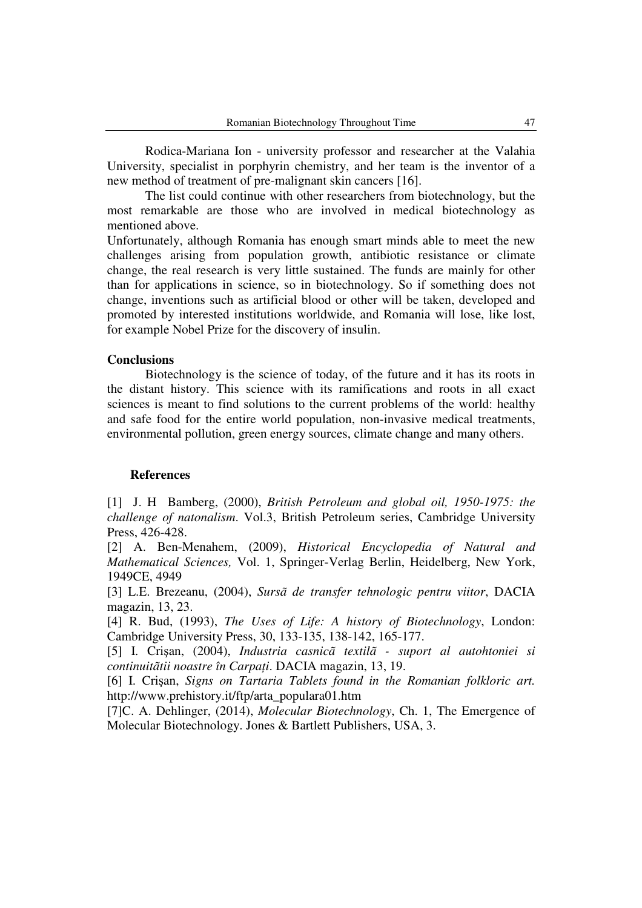Rodica-Mariana Ion - university professor and researcher at the Valahia University, specialist in porphyrin chemistry, and her team is the inventor of a new method of treatment of pre-malignant skin cancers [16].

The list could continue with other researchers from biotechnology, but the most remarkable are those who are involved in medical biotechnology as mentioned above.

Unfortunately, although Romania has enough smart minds able to meet the new challenges arising from population growth, antibiotic resistance or climate change, the real research is very little sustained. The funds are mainly for other than for applications in science, so in biotechnology. So if something does not change, inventions such as artificial blood or other will be taken, developed and promoted by interested institutions worldwide, and Romania will lose, like lost, for example Nobel Prize for the discovery of insulin.

## **Conclusions**

Biotechnology is the science of today, of the future and it has its roots in the distant history. This science with its ramifications and roots in all exact sciences is meant to find solutions to the current problems of the world: healthy and safe food for the entire world population, non-invasive medical treatments, environmental pollution, green energy sources, climate change and many others.

#### **References**

[1] J. H Bamberg, (2000), *British Petroleum and global oil, 1950-1975: the challenge of natonalism*. Vol.3, British Petroleum series, Cambridge University Press, 426-428.

[2] A. Ben-Menahem, (2009), *Historical Encyclopedia of Natural and Mathematical Sciences,* Vol. 1, Springer-Verlag Berlin, Heidelberg, New York, 1949CE, 4949

[3] L.E. Brezeanu, (2004), *Sursã de transfer tehnologic pentru viitor*, DACIA magazin, 13, 23.

[4] R. Bud, (1993), *The Uses of Life: A history of Biotechnology*, London: Cambridge University Press, 30, 133-135, 138-142, 165-177.

[5] I. Crişan, (2004), *Industria casnicã textilã - suport al autohtoniei si continuitãtii noastre în Carpați.* DACIA magazin, 13, 19.

[6] I. Crişan, *Signs on Tartaria Tablets found in the Romanian folkloric art.*  http://www.prehistory.it/ftp/arta\_populara01.htm

[7]C. A. Dehlinger, (2014), *Molecular Biotechnology*, Ch. 1, The Emergence of Molecular Biotechnology. Jones & Bartlett Publishers, USA, 3.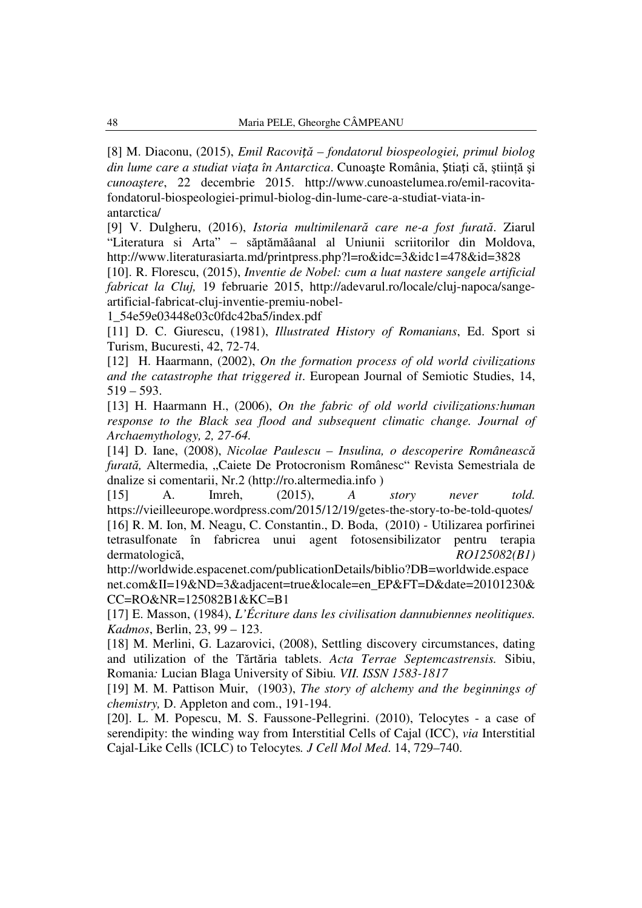[8] M. Diaconu, (2015), *Emil Racoviță – fondatorul biospeologiei, primul biolog din lume care a studiat viața în Antarctica*. Cunoaște România, Știați că, știință și *cunoaştere*, 22 decembrie 2015. http://www.cunoastelumea.ro/emil-racovitafondatorul-biospeologiei-primul-biolog-din-lume-care-a-studiat-viata-inantarctica/

[9] V. Dulgheru, (2016), *Istoria multimilenară care ne-a fost furată*. Ziarul "Literatura si Arta" – săptămăâanal al Uniunii scriitorilor din Moldova, http://www.literaturasiarta.md/printpress.php?l=ro&idc=3&idc1=478&id=3828

[10]. R. Florescu, (2015), *Inventie de Nobel: cum a luat nastere sangele artificial fabricat la Cluj,* 19 februarie 2015, http://adevarul.ro/locale/cluj-napoca/sangeartificial-fabricat-cluj-inventie-premiu-nobel-

1\_54e59e03448e03c0fdc42ba5/index.pdf

[11] D. C. Giurescu, (1981), *Illustrated History of Romanians*, Ed. Sport si Turism, Bucuresti, 42, 72-74.

[12] H. Haarmann, (2002), *On the formation process of old world civilizations and the catastrophe that triggered it*. European Journal of Semiotic Studies, 14,  $519 - 593.$ 

[13] H. Haarmann H., (2006), *On the fabric of old world civilizations:human response to the Black sea flood and subsequent climatic change. Journal of Archaemythology, 2, 27-64.* 

[14] D. Iane, (2008), *Nicolae Paulescu – Insulina, o descoperire Românească furată,* Altermedia, "Caiete De Protocronism Românesc" Revista Semestriala de dnalize si comentarii, Nr.2 (http://ro.altermedia.info )

[15] A. Imreh, (2015), *A story never told.*  https://vieilleeurope.wordpress.com/2015/12/19/getes-the-story-to-be-told-quotes/ [16] R. M. Ion, M. Neagu, C. Constantin., D. Boda, (2010) - Utilizarea porfirinei tetrasulfonate în fabricrea unui agent fotosensibilizator pentru terapia dermatologică, *RO125082(B1)* 

http://worldwide.espacenet.com/publicationDetails/biblio?DB=worldwide.espace net.com&II=19&ND=3&adjacent=true&locale=en\_EP&FT=D&date=20101230& CC=RO&NR=125082B1&KC=B1

[17] E. Masson, (1984), *L'Écriture dans les civilisation dannubiennes neolitiques. Kadmos*, Berlin, 23, 99 – 123.

[18] M. Merlini, G. Lazarovici, (2008), Settling discovery circumstances, dating and utilization of the Tărtăria tablets. *Acta Terrae Septemcastrensis.* Sibiu, Romania*:* Lucian Blaga University of Sibiu*. VII. ISSN 1583-1817*

[19] M. M. Pattison Muir, (1903), *The story of alchemy and the beginnings of chemistry,* D. Appleton and com., 191-194.

[20]. L. M. Popescu, M. S. Faussone-Pellegrini. (2010), Telocytes - a case of serendipity: the winding way from Interstitial Cells of Cajal (ICC), *via* Interstitial Cajal-Like Cells (ICLC) to Telocytes*. J Cell Mol Med*. 14, 729–740.